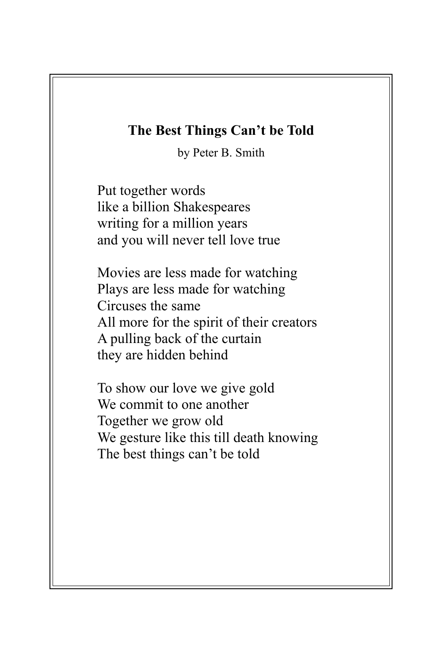## **The Best Things Can't be Told**

by Peter B. Smith

Put together words like a billion Shakespeares writing for a million years and you will never tell love true

Movies are less made for watching Plays are less made for watching Circuses the same All more for the spirit of their creators A pulling back of the curtain they are hidden behind

To show our love we give gold We commit to one another Together we grow old We gesture like this till death knowing The best things can't be told